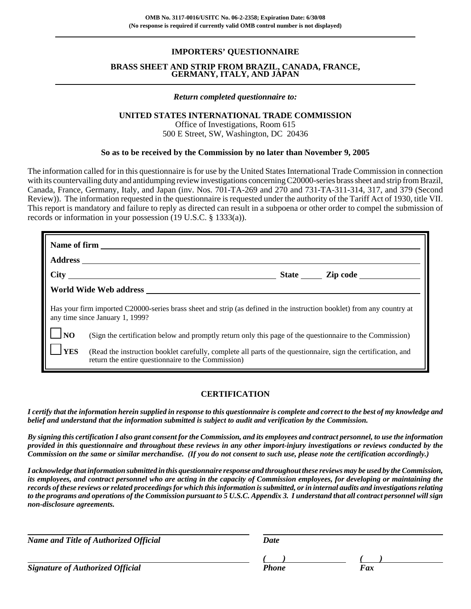# **IMPORTERS' QUESTIONNAIRE**

#### **BRASS SHEET AND STRIP FROM BRAZIL, CANADA, FRANCE, GERMANY, ITALY, AND JAPAN**

#### *Return completed questionnaire to:*

#### **UNITED STATES INTERNATIONAL TRADE COMMISSION**

Office of Investigations, Room 615 500 E Street, SW, Washington, DC 20436

#### **So as to be received by the Commission by no later than November 9, 2005**

The information called for in this questionnaire is for use by the United States International Trade Commission in connection with its countervailing duty and antidumping review investigations concerning C20000-series brass sheet and strip from Brazil, Canada, France, Germany, Italy, and Japan (inv. Nos. 701-TA-269 and 270 and 731-TA-311-314, 317, and 379 (Second Review)). The information requested in the questionnaire is requested under the authority of the Tariff Act of 1930, title VII. This report is mandatory and failure to reply as directed can result in a subpoena or other order to compel the submission of records or information in your possession (19 U.S.C. § 1333(a)).

| World Wide Web address New York Channels and Wide Web and The Manuscripture of the Manuscripture of the Manuscripture of the Manuscripture of the Manuscripture of the Manuscripture of the Manuscripture of the Manuscripture |                                                                                                                                                                     |  |  |  |
|--------------------------------------------------------------------------------------------------------------------------------------------------------------------------------------------------------------------------------|---------------------------------------------------------------------------------------------------------------------------------------------------------------------|--|--|--|
| Has your firm imported C20000-series brass sheet and strip (as defined in the instruction booklet) from any country at<br>any time since January 1, 1999?                                                                      |                                                                                                                                                                     |  |  |  |
| $\vert \vert$ $\vert$ NO                                                                                                                                                                                                       | (Sign the certification below and promptly return only this page of the questionnaire to the Commission)                                                            |  |  |  |
| <b>YES</b>                                                                                                                                                                                                                     | (Read the instruction booklet carefully, complete all parts of the questionnaire, sign the certification, and<br>return the entire questionnaire to the Commission) |  |  |  |

# **CERTIFICATION**

*I certify that the information herein supplied in response to this questionnaire is complete and correct to the best of my knowledge and belief and understand that the information submitted is subject to audit and verification by the Commission.*

*By signing this certification I also grant consent for the Commission, and its employees and contract personnel, to use the information provided in this questionnaire and throughout these reviews in any other import-injury investigations or reviews conducted by the Commission on the same or similar merchandise. (If you do not consent to such use, please note the certification accordingly.)*

*I acknowledge that information submitted in this questionnaire response and throughout these reviews may be used by the Commission, its employees, and contract personnel who are acting in the capacity of Commission employees, for developing or maintaining the records of these reviews or related proceedings for which this information is submitted, or in internal audits and investigations relating to the programs and operations of the Commission pursuant to 5 U.S.C. Appendix 3. I understand that all contract personnel will sign non-disclosure agreements.*

*Name and Title of Authorized Official* Date Date

**Signature of Authorized Official** *Phone* 

*( ) ( )*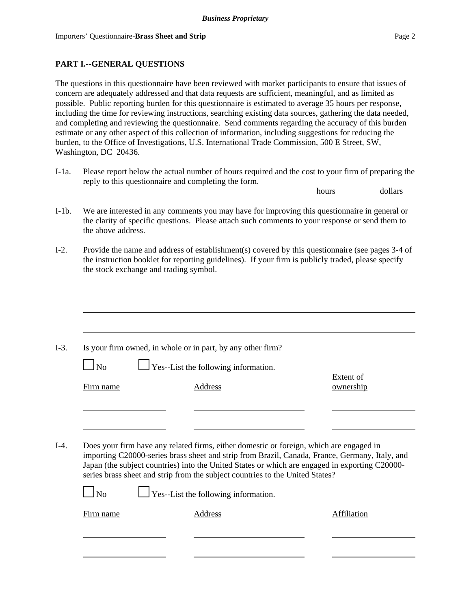# **PART I.--GENERAL QUESTIONS**

The questions in this questionnaire have been reviewed with market participants to ensure that issues of concern are adequately addressed and that data requests are sufficient, meaningful, and as limited as possible. Public reporting burden for this questionnaire is estimated to average 35 hours per response, including the time for reviewing instructions, searching existing data sources, gathering the data needed, and completing and reviewing the questionnaire. Send comments regarding the accuracy of this burden estimate or any other aspect of this collection of information, including suggestions for reducing the burden, to the Office of Investigations, U.S. International Trade Commission, 500 E Street, SW, Washington, DC 20436.

I-1a. Please report below the actual number of hours required and the cost to your firm of preparing the reply to this questionnaire and completing the form.

hours dollars

- I-1b. We are interested in any comments you may have for improving this questionnaire in general or the clarity of specific questions. Please attach such comments to your response or send them to the above address.
- I-2. Provide the name and address of establishment(s) covered by this questionnaire (see pages 3-4 of the instruction booklet for reporting guidelines). If your firm is publicly traded, please specify the stock exchange and trading symbol.

|           | Is your firm owned, in whole or in part, by any other firm?                                                                                                                                                                                                                                                                                                                  |                        |
|-----------|------------------------------------------------------------------------------------------------------------------------------------------------------------------------------------------------------------------------------------------------------------------------------------------------------------------------------------------------------------------------------|------------------------|
| $\Box$ No | $\Box$ Yes--List the following information.                                                                                                                                                                                                                                                                                                                                  |                        |
| Firm name | <b>Address</b>                                                                                                                                                                                                                                                                                                                                                               | Extent of<br>ownership |
|           |                                                                                                                                                                                                                                                                                                                                                                              |                        |
|           |                                                                                                                                                                                                                                                                                                                                                                              |                        |
|           |                                                                                                                                                                                                                                                                                                                                                                              |                        |
|           | Does your firm have any related firms, either domestic or foreign, which are engaged in<br>importing C20000-series brass sheet and strip from Brazil, Canada, France, Germany, Italy, and<br>Japan (the subject countries) into the United States or which are engaged in exporting C20000-<br>series brass sheet and strip from the subject countries to the United States? |                        |
| $\ln$     | $\Box$ Yes--List the following information.                                                                                                                                                                                                                                                                                                                                  |                        |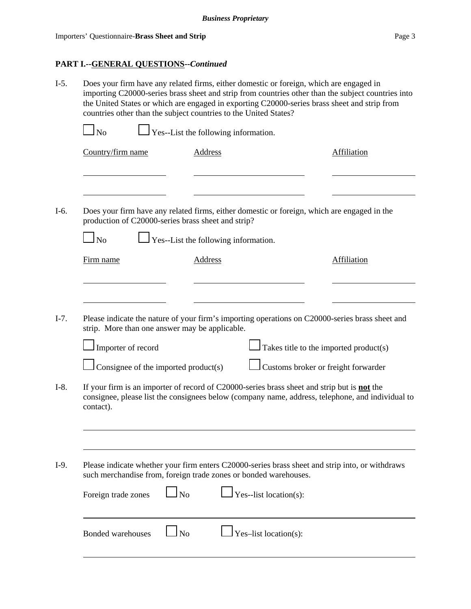# **PART I.--GENERAL QUESTIONS--***Continued*

| $I-5.$ | Does your firm have any related firms, either domestic or foreign, which are engaged in<br>importing C20000-series brass sheet and strip from countries other than the subject countries into<br>the United States or which are engaged in exporting C20000-series brass sheet and strip from<br>countries other than the subject countries to the United States? |                                                                                                                                                                     |                                      |                                                                                                 |                                                                                                  |  |  |
|--------|-------------------------------------------------------------------------------------------------------------------------------------------------------------------------------------------------------------------------------------------------------------------------------------------------------------------------------------------------------------------|---------------------------------------------------------------------------------------------------------------------------------------------------------------------|--------------------------------------|-------------------------------------------------------------------------------------------------|--------------------------------------------------------------------------------------------------|--|--|
|        | $\ln$                                                                                                                                                                                                                                                                                                                                                             | Yes--List the following information.                                                                                                                                |                                      |                                                                                                 |                                                                                                  |  |  |
|        | Country/firm name                                                                                                                                                                                                                                                                                                                                                 |                                                                                                                                                                     | <b>Address</b>                       |                                                                                                 | <b>Affiliation</b>                                                                               |  |  |
| $I-6.$ |                                                                                                                                                                                                                                                                                                                                                                   | production of C20000-series brass sheet and strip?                                                                                                                  |                                      | Does your firm have any related firms, either domestic or foreign, which are engaged in the     |                                                                                                  |  |  |
|        | $\overline{\rm No}$                                                                                                                                                                                                                                                                                                                                               |                                                                                                                                                                     | Yes--List the following information. |                                                                                                 |                                                                                                  |  |  |
|        | Firm name                                                                                                                                                                                                                                                                                                                                                         |                                                                                                                                                                     | Address                              |                                                                                                 | <b>Affiliation</b>                                                                               |  |  |
| $I-7.$ |                                                                                                                                                                                                                                                                                                                                                                   | strip. More than one answer may be applicable.                                                                                                                      |                                      | Please indicate the nature of your firm's importing operations on C20000-series brass sheet and |                                                                                                  |  |  |
|        | Importer of record                                                                                                                                                                                                                                                                                                                                                |                                                                                                                                                                     |                                      | $\int$ Takes title to the imported product(s)                                                   |                                                                                                  |  |  |
|        |                                                                                                                                                                                                                                                                                                                                                                   | Consignee of the imported product(s)                                                                                                                                |                                      | Customs broker or freight forwarder                                                             |                                                                                                  |  |  |
| $I-8.$ | contact).                                                                                                                                                                                                                                                                                                                                                         |                                                                                                                                                                     |                                      | If your firm is an importer of record of C20000-series brass sheet and strip but is not the     | consignee, please list the consignees below (company name, address, telephone, and individual to |  |  |
|        |                                                                                                                                                                                                                                                                                                                                                                   |                                                                                                                                                                     |                                      |                                                                                                 |                                                                                                  |  |  |
| $I-9.$ |                                                                                                                                                                                                                                                                                                                                                                   | Please indicate whether your firm enters C20000-series brass sheet and strip into, or withdraws<br>such merchandise from, foreign trade zones or bonded warehouses. |                                      |                                                                                                 |                                                                                                  |  |  |
|        | Foreign trade zones                                                                                                                                                                                                                                                                                                                                               | N <sub>o</sub>                                                                                                                                                      |                                      | Yes--list location(s):                                                                          |                                                                                                  |  |  |
|        | <b>Bonded warehouses</b>                                                                                                                                                                                                                                                                                                                                          | <b>No</b>                                                                                                                                                           |                                      | Yes-list location(s):                                                                           |                                                                                                  |  |  |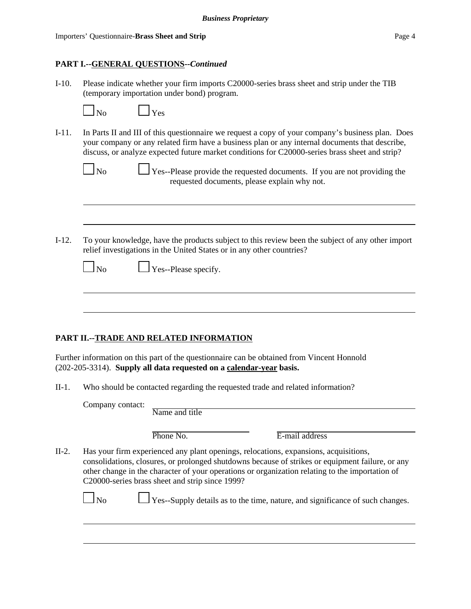# **PART I.--GENERAL QUESTIONS--***Continued*

I-10. Please indicate whether your firm imports C20000-series brass sheet and strip under the TIB (temporary importation under bond) program.

| N∩ |  |
|----|--|

 $\Box$  Yes

I-11. In Parts II and III of this questionnaire we request a copy of your company's business plan. Does your company or any related firm have a business plan or any internal documents that describe, discuss, or analyze expected future market conditions for C20000-series brass sheet and strip?

| Nο |
|----|
|    |

- $\Box$  Yes--Please provide the requested documents. If you are not providing the requested documents, please explain why not.
- I-12. To your knowledge, have the products subject to this review been the subject of any other import relief investigations in the United States or in any other countries?

| N٥ |  |
|----|--|
|----|--|

 $\Box$  Yes--Please specify.

# **PART II.--TRADE AND RELATED INFORMATION**

Further information on this part of the questionnaire can be obtained from Vincent Honnold (202-205-3314). **Supply all data requested on a calendar-year basis.**

II-1. Who should be contacted regarding the requested trade and related information?

Company contact:

| Name and title |  |  |
|----------------|--|--|
|                |  |  |

E-mail address

II-2. Has your firm experienced any plant openings, relocations, expansions, acquisitions, consolidations, closures, or prolonged shutdowns because of strikes or equipment failure, or any other change in the character of your operations or organization relating to the importation of C20000-series brass sheet and strip since 1999?

**No Yes--Supply details as to the time, nature, and significance of such changes.**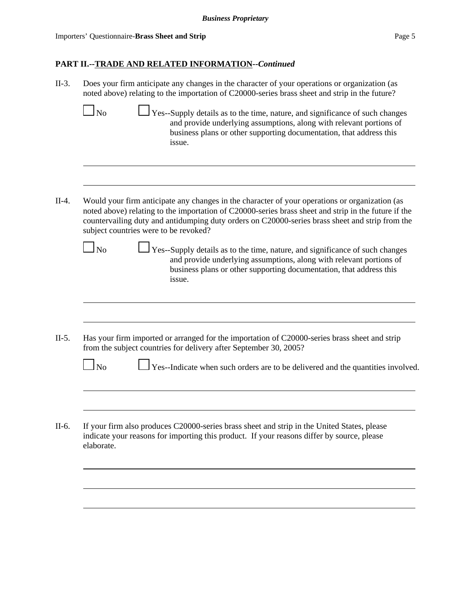Importers' Questionnaire-**Brass Sheet and Strip** Page 5

# **PART II.--TRADE AND RELATED INFORMATION--***Continued*

| $II-3.$ | Does your firm anticipate any changes in the character of your operations or organization (as<br>noted above) relating to the importation of C20000-series brass sheet and strip in the future?                                                                                                                                                    |  |  |  |  |
|---------|----------------------------------------------------------------------------------------------------------------------------------------------------------------------------------------------------------------------------------------------------------------------------------------------------------------------------------------------------|--|--|--|--|
|         | Yes--Supply details as to the time, nature, and significance of such changes<br>$\ln$<br>and provide underlying assumptions, along with relevant portions of<br>business plans or other supporting documentation, that address this<br>issue.                                                                                                      |  |  |  |  |
|         |                                                                                                                                                                                                                                                                                                                                                    |  |  |  |  |
| $II-4.$ | Would your firm anticipate any changes in the character of your operations or organization (as<br>noted above) relating to the importation of C20000-series brass sheet and strip in the future if the<br>countervailing duty and antidumping duty orders on C20000-series brass sheet and strip from the<br>subject countries were to be revoked? |  |  |  |  |
|         | $\perp$ Yes--Supply details as to the time, nature, and significance of such changes<br>$\Box$ No<br>and provide underlying assumptions, along with relevant portions of<br>business plans or other supporting documentation, that address this<br>issue.                                                                                          |  |  |  |  |
| $II-5.$ | Has your firm imported or arranged for the importation of C20000-series brass sheet and strip<br>from the subject countries for delivery after September 30, 2005?                                                                                                                                                                                 |  |  |  |  |
|         | Yes--Indicate when such orders are to be delivered and the quantities involved.<br>No                                                                                                                                                                                                                                                              |  |  |  |  |
|         |                                                                                                                                                                                                                                                                                                                                                    |  |  |  |  |
| II-6.   | If your firm also produces C20000-series brass sheet and strip in the United States, please<br>indicate your reasons for importing this product. If your reasons differ by source, please<br>elaborate.                                                                                                                                            |  |  |  |  |
|         |                                                                                                                                                                                                                                                                                                                                                    |  |  |  |  |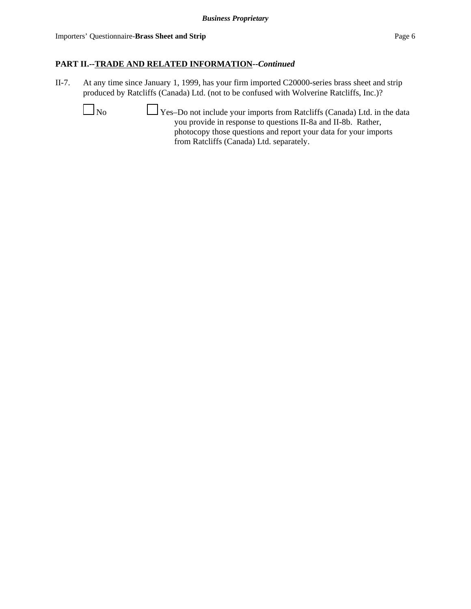Importers' Questionnaire-**Brass Sheet and Strip** Page 6

# **PART II.--TRADE AND RELATED INFORMATION--***Continued*

- II-7. At any time since January 1, 1999, has your firm imported C20000-series brass sheet and strip produced by Ratcliffs (Canada) Ltd. (not to be confused with Wolverine Ratcliffs, Inc.)?
	- $\Box$  No  $\Box$  Yes–Do not include your imports from Ratcliffs (Canada) Ltd. in the data you provide in response to questions II-8a and II-8b. Rather, photocopy those questions and report your data for your imports from Ratcliffs (Canada) Ltd. separately.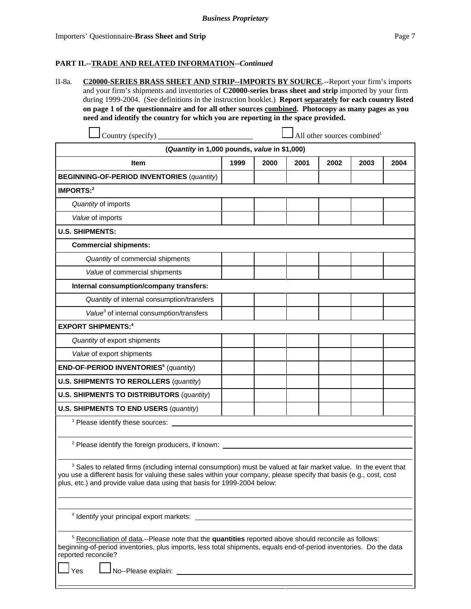#### **PART II.--TRADE AND RELATED INFORMATION--***Continued*

II-8a. **C20000-SERIES BRASS SHEET AND STRIP--IMPORTS BY SOURCE**.--Report your firm's imports and your firm's shipments and inventories of **C20000-series brass sheet and strip** imported by your firm during 1999-2004. (See definitions in the instruction booklet.) **Report separately for each country listed on page 1 of the questionnaire and for all other sources combined. Photocopy as many pages as you need and identify the country for which you are reporting in the space provided.**

| Country (specify)                                                                                                                                                                                                                                 |      |      |      | All other sources combined <sup>1</sup> |      |      |
|---------------------------------------------------------------------------------------------------------------------------------------------------------------------------------------------------------------------------------------------------|------|------|------|-----------------------------------------|------|------|
| (Quantity in 1,000 pounds, value in \$1,000)                                                                                                                                                                                                      |      |      |      |                                         |      |      |
| <b>Item</b>                                                                                                                                                                                                                                       | 1999 | 2000 | 2001 | 2002                                    | 2003 | 2004 |
| <b>BEGINNING-OF-PERIOD INVENTORIES (quantity)</b>                                                                                                                                                                                                 |      |      |      |                                         |      |      |
| <b>IMPORTS:2</b>                                                                                                                                                                                                                                  |      |      |      |                                         |      |      |
| Quantity of imports                                                                                                                                                                                                                               |      |      |      |                                         |      |      |
| Value of imports                                                                                                                                                                                                                                  |      |      |      |                                         |      |      |
| <b>U.S. SHIPMENTS:</b>                                                                                                                                                                                                                            |      |      |      |                                         |      |      |
| <b>Commercial shipments:</b>                                                                                                                                                                                                                      |      |      |      |                                         |      |      |
| Quantity of commercial shipments                                                                                                                                                                                                                  |      |      |      |                                         |      |      |
| Value of commercial shipments                                                                                                                                                                                                                     |      |      |      |                                         |      |      |
| Internal consumption/company transfers:                                                                                                                                                                                                           |      |      |      |                                         |      |      |
| Quantity of internal consumption/transfers                                                                                                                                                                                                        |      |      |      |                                         |      |      |
| Value <sup>3</sup> of internal consumption/transfers                                                                                                                                                                                              |      |      |      |                                         |      |      |
| <b>EXPORT SHIPMENTS:4</b>                                                                                                                                                                                                                         |      |      |      |                                         |      |      |
| Quantity of export shipments                                                                                                                                                                                                                      |      |      |      |                                         |      |      |
| Value of export shipments                                                                                                                                                                                                                         |      |      |      |                                         |      |      |
| END-OF-PERIOD INVENTORIES <sup>5</sup> (quantity)                                                                                                                                                                                                 |      |      |      |                                         |      |      |
| <b>U.S. SHIPMENTS TO REROLLERS (quantity)</b>                                                                                                                                                                                                     |      |      |      |                                         |      |      |
| <b>U.S. SHIPMENTS TO DISTRIBUTORS (quantity)</b>                                                                                                                                                                                                  |      |      |      |                                         |      |      |
| <b>U.S. SHIPMENTS TO END USERS (quantity)</b>                                                                                                                                                                                                     |      |      |      |                                         |      |      |
| <sup>1</sup> Please identify these sources:                                                                                                                                                                                                       |      |      |      |                                         |      |      |
| <sup>2</sup> Please identify the foreign producers, if known: _______________________________                                                                                                                                                     |      |      |      |                                         |      |      |
| <sup>3</sup> Sales to related firms (including internal consumption) must be valued at fair market value. In the event that<br>you use a different basis for valuing these sales within your company, please specify that basis (e.g., cost, cost |      |      |      |                                         |      |      |

4 Identify your principal export markets:

plus, etc.) and provide value data using that basis for 1999-2004 below:

<sup>5</sup> Reconciliation of data</u>.--Please note that the **quantities** reported above should reconcile as follows: beginning-of-period inventories, plus imports, less total shipments, equals end-of-period inventories. Do the data reported reconcile?

Yes **No--Please explain:**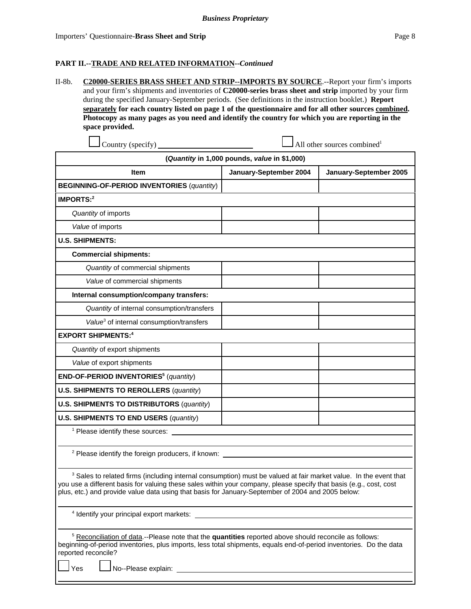#### **PART II.--TRADE AND RELATED INFORMATION--***Continued*

II-8b. **C20000-SERIES BRASS SHEET AND STRIP--IMPORTS BY SOURCE**.--Report your firm's imports and your firm's shipments and inventories of **C20000-series brass sheet and strip** imported by your firm during the specified January-September periods. (See definitions in the instruction booklet.) **Report separately for each country listed on page 1 of the questionnaire and for all other sources combined. Photocopy as many pages as you need and identify the country for which you are reporting in the space provided.**

| Country (specify)                                                                                                                                                                                                                                                                                                                                      | All other sources combined <sup>1</sup> |                        |  |  |  |  |
|--------------------------------------------------------------------------------------------------------------------------------------------------------------------------------------------------------------------------------------------------------------------------------------------------------------------------------------------------------|-----------------------------------------|------------------------|--|--|--|--|
| (Quantity in 1,000 pounds, value in \$1,000)                                                                                                                                                                                                                                                                                                           |                                         |                        |  |  |  |  |
| <b>Item</b>                                                                                                                                                                                                                                                                                                                                            | January-September 2004                  | January-September 2005 |  |  |  |  |
| <b>BEGINNING-OF-PERIOD INVENTORIES (quantity)</b>                                                                                                                                                                                                                                                                                                      |                                         |                        |  |  |  |  |
| <b>IMPORTS:2</b>                                                                                                                                                                                                                                                                                                                                       |                                         |                        |  |  |  |  |
| Quantity of imports                                                                                                                                                                                                                                                                                                                                    |                                         |                        |  |  |  |  |
| Value of imports                                                                                                                                                                                                                                                                                                                                       |                                         |                        |  |  |  |  |
| <b>U.S. SHIPMENTS:</b>                                                                                                                                                                                                                                                                                                                                 |                                         |                        |  |  |  |  |
| <b>Commercial shipments:</b>                                                                                                                                                                                                                                                                                                                           |                                         |                        |  |  |  |  |
| Quantity of commercial shipments                                                                                                                                                                                                                                                                                                                       |                                         |                        |  |  |  |  |
| Value of commercial shipments                                                                                                                                                                                                                                                                                                                          |                                         |                        |  |  |  |  |
| Internal consumption/company transfers:                                                                                                                                                                                                                                                                                                                |                                         |                        |  |  |  |  |
| Quantity of internal consumption/transfers                                                                                                                                                                                                                                                                                                             |                                         |                        |  |  |  |  |
| Value <sup>3</sup> of internal consumption/transfers                                                                                                                                                                                                                                                                                                   |                                         |                        |  |  |  |  |
| <b>EXPORT SHIPMENTS:4</b>                                                                                                                                                                                                                                                                                                                              |                                         |                        |  |  |  |  |
| Quantity of export shipments                                                                                                                                                                                                                                                                                                                           |                                         |                        |  |  |  |  |
| Value of export shipments                                                                                                                                                                                                                                                                                                                              |                                         |                        |  |  |  |  |
| END-OF-PERIOD INVENTORIES <sup>5</sup> (quantity)                                                                                                                                                                                                                                                                                                      |                                         |                        |  |  |  |  |
| <b>U.S. SHIPMENTS TO REROLLERS (quantity)</b>                                                                                                                                                                                                                                                                                                          |                                         |                        |  |  |  |  |
| <b>U.S. SHIPMENTS TO DISTRIBUTORS (quantity)</b>                                                                                                                                                                                                                                                                                                       |                                         |                        |  |  |  |  |
| <b>U.S. SHIPMENTS TO END USERS (quantity)</b>                                                                                                                                                                                                                                                                                                          |                                         |                        |  |  |  |  |
| <sup>1</sup> Please identify these sources:                                                                                                                                                                                                                                                                                                            |                                         |                        |  |  |  |  |
| <sup>2</sup> Please identify the foreign producers, if known:                                                                                                                                                                                                                                                                                          |                                         |                        |  |  |  |  |
| <sup>3</sup> Sales to related firms (including internal consumption) must be valued at fair market value. In the event that<br>you use a different basis for valuing these sales within your company, please specify that basis (e.g., cost, cost<br>plus, etc.) and provide value data using that basis for January-September of 2004 and 2005 below: |                                         |                        |  |  |  |  |
| <sup>4</sup> Identify your principal export markets:                                                                                                                                                                                                                                                                                                   |                                         |                        |  |  |  |  |

<sup>5</sup> Reconciliation of data.--Please note that the **quantities** reported above should reconcile as follows: beginning-of-period inventories, plus imports, less total shipments, equals end-of-period inventories. Do the data reported reconcile?

Yes <u>L</u>No--Please explain: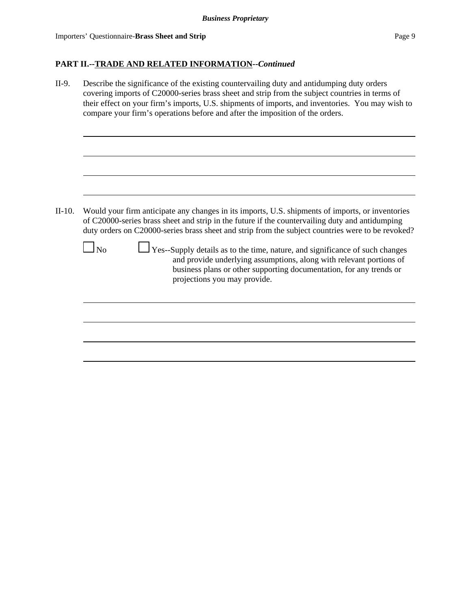# **PART II.--TRADE AND RELATED INFORMATION--***Continued*

| II-9.    | Describe the significance of the existing countervailing duty and antidumping duty orders<br>covering imports of C20000-series brass sheet and strip from the subject countries in terms of<br>their effect on your firm's imports, U.S. shipments of imports, and inventories. You may wish to<br>compare your firm's operations before and after the imposition of the orders.                                                                                                                                                                                                                 |
|----------|--------------------------------------------------------------------------------------------------------------------------------------------------------------------------------------------------------------------------------------------------------------------------------------------------------------------------------------------------------------------------------------------------------------------------------------------------------------------------------------------------------------------------------------------------------------------------------------------------|
|          |                                                                                                                                                                                                                                                                                                                                                                                                                                                                                                                                                                                                  |
| $II-10.$ | Would your firm anticipate any changes in its imports, U.S. shipments of imports, or inventories<br>of C20000-series brass sheet and strip in the future if the countervailing duty and antidumping<br>duty orders on C20000-series brass sheet and strip from the subject countries were to be revoked?<br>Yes--Supply details as to the time, nature, and significance of such changes<br>$\overline{\text{No}}$<br>and provide underlying assumptions, along with relevant portions of<br>business plans or other supporting documentation, for any trends or<br>projections you may provide. |
|          |                                                                                                                                                                                                                                                                                                                                                                                                                                                                                                                                                                                                  |
|          |                                                                                                                                                                                                                                                                                                                                                                                                                                                                                                                                                                                                  |
|          |                                                                                                                                                                                                                                                                                                                                                                                                                                                                                                                                                                                                  |
|          |                                                                                                                                                                                                                                                                                                                                                                                                                                                                                                                                                                                                  |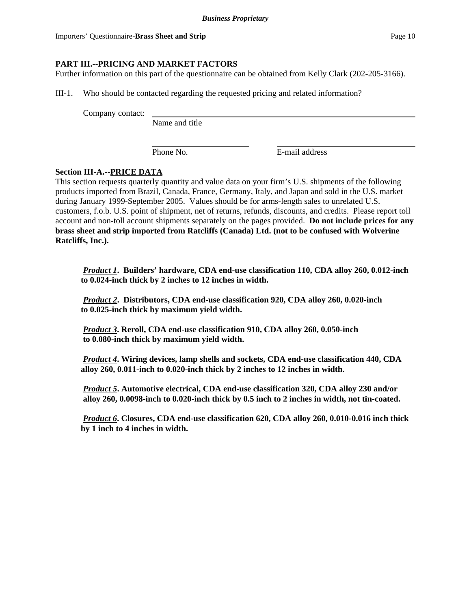# **PART III.--PRICING AND MARKET FACTORS**

Further information on this part of the questionnaire can be obtained from Kelly Clark (202-205-3166).

III-1. Who should be contacted regarding the requested pricing and related information?

Company contact:

Name and title

Phone No. **E**-mail address

# **Section III-A.--PRICE DATA**

This section requests quarterly quantity and value data on your firm's U.S. shipments of the following products imported from Brazil, Canada, France, Germany, Italy, and Japan and sold in the U.S. market during January 1999-September 2005. Values should be for arms-length sales to unrelated U.S. customers, f.o.b. U.S. point of shipment, net of returns, refunds, discounts, and credits. Please report toll account and non-toll account shipments separately on the pages provided. **Do not include prices for any brass sheet and strip imported from Ratcliffs (Canada) Ltd. (not to be confused with Wolverine Ratcliffs, Inc.).**

*Product 1***. Builders' hardware, CDA end-use classification 110, CDA alloy 260, 0.012-inch to 0.024-inch thick by 2 inches to 12 inches in width.**

*Product 2***. Distributors, CDA end-use classification 920, CDA alloy 260, 0.020-inch to 0.025-inch thick by maximum yield width.**

 *Product 3***. Reroll, CDA end-use classification 910, CDA alloy 260, 0.050-inch to 0.080-inch thick by maximum yield width.**

 *Product 4***. Wiring devices, lamp shells and sockets, CDA end-use classification 440, CDA alloy 260, 0.011-inch to 0.020-inch thick by 2 inches to 12 inches in width.**

*Product 5***. Automotive electrical, CDA end-use classification 320, CDA alloy 230 and/or alloy 260, 0.0098-inch to 0.020-inch thick by 0.5 inch to 2 inches in width, not tin-coated.**

 *Product 6***. Closures, CDA end-use classification 620, CDA alloy 260, 0.010-0.016 inch thick by 1 inch to 4 inches in width.**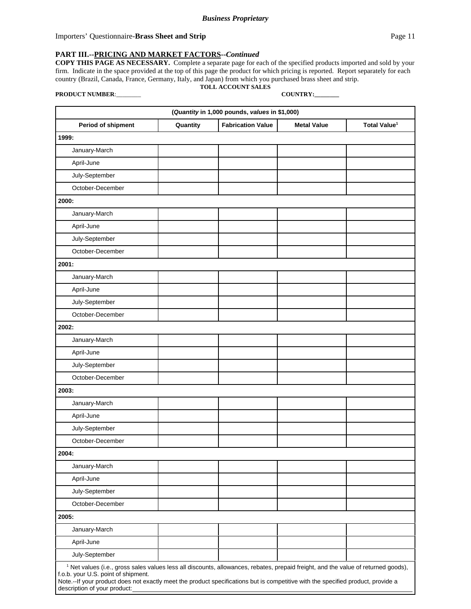Importers' Questionnaire-**Brass Sheet and Strip Page 11 Page 11** 

#### **PART III.--PRICING AND MARKET FACTORS--***Continued*

**COPY THIS PAGE AS NECESSARY.** Complete a separate page for each of the specified products imported and sold by your firm. Indicate in the space provided at the top of this page the product for which pricing is reported. Report separately for each country (Brazil, Canada, France, Germany, Italy, and Japan) from which you purchased brass sheet and strip. **TOLL ACCOUNT SALES**

**PRODUCT NUMBER**:\_\_\_\_\_\_\_\_ **COUNTRY:\_\_\_\_\_\_\_\_**

description of your product:

| (Quantity in 1,000 pounds, values in \$1,000)                                                                                                                                                                                                                                                                              |          |                          |                    |                          |
|----------------------------------------------------------------------------------------------------------------------------------------------------------------------------------------------------------------------------------------------------------------------------------------------------------------------------|----------|--------------------------|--------------------|--------------------------|
| Period of shipment                                                                                                                                                                                                                                                                                                         | Quantity | <b>Fabrication Value</b> | <b>Metal Value</b> | Total Value <sup>1</sup> |
| 1999:                                                                                                                                                                                                                                                                                                                      |          |                          |                    |                          |
| January-March                                                                                                                                                                                                                                                                                                              |          |                          |                    |                          |
| April-June                                                                                                                                                                                                                                                                                                                 |          |                          |                    |                          |
| July-September                                                                                                                                                                                                                                                                                                             |          |                          |                    |                          |
| October-December                                                                                                                                                                                                                                                                                                           |          |                          |                    |                          |
| 2000:                                                                                                                                                                                                                                                                                                                      |          |                          |                    |                          |
| January-March                                                                                                                                                                                                                                                                                                              |          |                          |                    |                          |
| April-June                                                                                                                                                                                                                                                                                                                 |          |                          |                    |                          |
| July-September                                                                                                                                                                                                                                                                                                             |          |                          |                    |                          |
| October-December                                                                                                                                                                                                                                                                                                           |          |                          |                    |                          |
| 2001:                                                                                                                                                                                                                                                                                                                      |          |                          |                    |                          |
| January-March                                                                                                                                                                                                                                                                                                              |          |                          |                    |                          |
| April-June                                                                                                                                                                                                                                                                                                                 |          |                          |                    |                          |
| July-September                                                                                                                                                                                                                                                                                                             |          |                          |                    |                          |
| October-December                                                                                                                                                                                                                                                                                                           |          |                          |                    |                          |
| 2002:                                                                                                                                                                                                                                                                                                                      |          |                          |                    |                          |
| January-March                                                                                                                                                                                                                                                                                                              |          |                          |                    |                          |
| April-June                                                                                                                                                                                                                                                                                                                 |          |                          |                    |                          |
| July-September                                                                                                                                                                                                                                                                                                             |          |                          |                    |                          |
| October-December                                                                                                                                                                                                                                                                                                           |          |                          |                    |                          |
| 2003:                                                                                                                                                                                                                                                                                                                      |          |                          |                    |                          |
| January-March                                                                                                                                                                                                                                                                                                              |          |                          |                    |                          |
| April-June                                                                                                                                                                                                                                                                                                                 |          |                          |                    |                          |
| July-September                                                                                                                                                                                                                                                                                                             |          |                          |                    |                          |
| October-December                                                                                                                                                                                                                                                                                                           |          |                          |                    |                          |
| 2004:                                                                                                                                                                                                                                                                                                                      |          |                          |                    |                          |
| January-March                                                                                                                                                                                                                                                                                                              |          |                          |                    |                          |
| April-June                                                                                                                                                                                                                                                                                                                 |          |                          |                    |                          |
| July-September                                                                                                                                                                                                                                                                                                             |          |                          |                    |                          |
| October-December                                                                                                                                                                                                                                                                                                           |          |                          |                    |                          |
| 2005:                                                                                                                                                                                                                                                                                                                      |          |                          |                    |                          |
| January-March                                                                                                                                                                                                                                                                                                              |          |                          |                    |                          |
| April-June                                                                                                                                                                                                                                                                                                                 |          |                          |                    |                          |
| July-September                                                                                                                                                                                                                                                                                                             |          |                          |                    |                          |
| <sup>1</sup> Net values (i.e., gross sales values less all discounts, allowances, rebates, prepaid freight, and the value of returned goods),<br>f.o.b. your U.S. point of shipment.<br>Note .-- If your product does not exactly meet the product specifications but is competitive with the specified product, provide a |          |                          |                    |                          |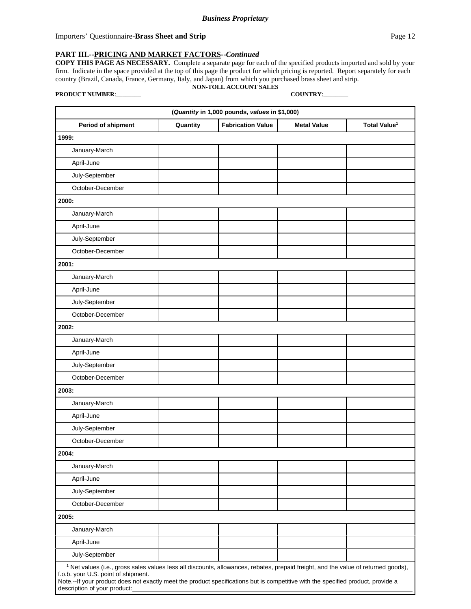Importers' Questionnaire-**Brass Sheet and Strip** Page 12

#### **PART III.--PRICING AND MARKET FACTORS--***Continued*

**COPY THIS PAGE AS NECESSARY.** Complete a separate page for each of the specified products imported and sold by your firm. Indicate in the space provided at the top of this page the product for which pricing is reported. Report separately for each country (Brazil, Canada, France, Germany, Italy, and Japan) from which you purchased brass sheet and strip. **NON-TOLL ACCOUNT SALES**

**PRODUCT NUMBER**:\_\_\_\_\_\_\_\_ **COUNTRY**:\_\_\_\_\_\_\_\_

description of your product:

| (Quantity in 1,000 pounds, values in \$1,000)                                                                                                                                                                                                                                                                              |          |                          |                    |                          |
|----------------------------------------------------------------------------------------------------------------------------------------------------------------------------------------------------------------------------------------------------------------------------------------------------------------------------|----------|--------------------------|--------------------|--------------------------|
| Period of shipment                                                                                                                                                                                                                                                                                                         | Quantity | <b>Fabrication Value</b> | <b>Metal Value</b> | Total Value <sup>1</sup> |
| 1999:                                                                                                                                                                                                                                                                                                                      |          |                          |                    |                          |
| January-March                                                                                                                                                                                                                                                                                                              |          |                          |                    |                          |
| April-June                                                                                                                                                                                                                                                                                                                 |          |                          |                    |                          |
| July-September                                                                                                                                                                                                                                                                                                             |          |                          |                    |                          |
| October-December                                                                                                                                                                                                                                                                                                           |          |                          |                    |                          |
| 2000:                                                                                                                                                                                                                                                                                                                      |          |                          |                    |                          |
| January-March                                                                                                                                                                                                                                                                                                              |          |                          |                    |                          |
| April-June                                                                                                                                                                                                                                                                                                                 |          |                          |                    |                          |
| July-September                                                                                                                                                                                                                                                                                                             |          |                          |                    |                          |
| October-December                                                                                                                                                                                                                                                                                                           |          |                          |                    |                          |
| 2001:                                                                                                                                                                                                                                                                                                                      |          |                          |                    |                          |
| January-March                                                                                                                                                                                                                                                                                                              |          |                          |                    |                          |
| April-June                                                                                                                                                                                                                                                                                                                 |          |                          |                    |                          |
| July-September                                                                                                                                                                                                                                                                                                             |          |                          |                    |                          |
| October-December                                                                                                                                                                                                                                                                                                           |          |                          |                    |                          |
| 2002:                                                                                                                                                                                                                                                                                                                      |          |                          |                    |                          |
| January-March                                                                                                                                                                                                                                                                                                              |          |                          |                    |                          |
| April-June                                                                                                                                                                                                                                                                                                                 |          |                          |                    |                          |
| July-September                                                                                                                                                                                                                                                                                                             |          |                          |                    |                          |
| October-December                                                                                                                                                                                                                                                                                                           |          |                          |                    |                          |
| 2003:                                                                                                                                                                                                                                                                                                                      |          |                          |                    |                          |
| January-March                                                                                                                                                                                                                                                                                                              |          |                          |                    |                          |
| April-June                                                                                                                                                                                                                                                                                                                 |          |                          |                    |                          |
| July-September                                                                                                                                                                                                                                                                                                             |          |                          |                    |                          |
| October-December                                                                                                                                                                                                                                                                                                           |          |                          |                    |                          |
| 2004:                                                                                                                                                                                                                                                                                                                      |          |                          |                    |                          |
| January-March                                                                                                                                                                                                                                                                                                              |          |                          |                    |                          |
| April-June                                                                                                                                                                                                                                                                                                                 |          |                          |                    |                          |
| July-September                                                                                                                                                                                                                                                                                                             |          |                          |                    |                          |
| October-December                                                                                                                                                                                                                                                                                                           |          |                          |                    |                          |
| 2005:                                                                                                                                                                                                                                                                                                                      |          |                          |                    |                          |
| January-March                                                                                                                                                                                                                                                                                                              |          |                          |                    |                          |
| April-June                                                                                                                                                                                                                                                                                                                 |          |                          |                    |                          |
| July-September                                                                                                                                                                                                                                                                                                             |          |                          |                    |                          |
| <sup>1</sup> Net values (i.e., gross sales values less all discounts, allowances, rebates, prepaid freight, and the value of returned goods),<br>f.o.b. your U.S. point of shipment.<br>Note .-- If your product does not exactly meet the product specifications but is competitive with the specified product, provide a |          |                          |                    |                          |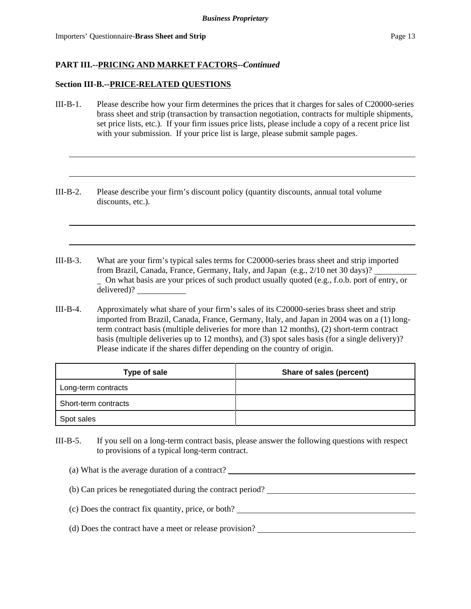#### **Section III-B.--PRICE-RELATED QUESTIONS**

- III-B-1. Please describe how your firm determines the prices that it charges for sales of C20000-series brass sheet and strip (transaction by transaction negotiation, contracts for multiple shipments, set price lists, etc.). If your firm issues price lists, please include a copy of a recent price list with your submission. If your price list is large, please submit sample pages.
- III-B-2. Please describe your firm's discount policy (quantity discounts, annual total volume discounts, etc.).
- III-B-3. What are your firm's typical sales terms for C20000-series brass sheet and strip imported from Brazil, Canada, France, Germany, Italy, and Japan (e.g., 2/10 net 30 days)? On what basis are your prices of such product usually quoted (e.g., f.o.b. port of entry, or delivered)?
- III-B-4. Approximately what share of your firm's sales of its C20000-series brass sheet and strip imported from Brazil, Canada, France, Germany, Italy, and Japan in 2004 was on a (1) longterm contract basis (multiple deliveries for more than 12 months), (2) short-term contract basis (multiple deliveries up to 12 months), and (3) spot sales basis (for a single delivery)? Please indicate if the shares differ depending on the country of origin.

| Type of sale         | Share of sales (percent) |
|----------------------|--------------------------|
| Long-term contracts  |                          |
| Short-term contracts |                          |
| Spot sales           |                          |

III-B-5. If you sell on a long-term contract basis, please answer the following questions with respect to provisions of a typical long-term contract.

| (a) What is the average duration of a contract? |  |
|-------------------------------------------------|--|
|                                                 |  |

- (b) Can prices be renegotiated during the contract period?
- (c) Does the contract fix quantity, price, or both?
- (d) Does the contract have a meet or release provision?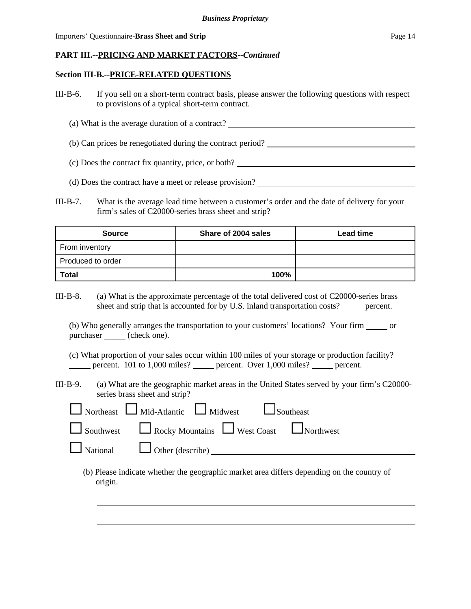### **Section III-B.--PRICE-RELATED QUESTIONS**

- III-B-6. If you sell on a short-term contract basis, please answer the following questions with respect to provisions of a typical short-term contract.
	- (a) What is the average duration of a contract?
	- (b) Can prices be renegotiated during the contract period?
	- (c) Does the contract fix quantity, price, or both?
	- (d) Does the contract have a meet or release provision?
- III-B-7. What is the average lead time between a customer's order and the date of delivery for your firm's sales of C20000-series brass sheet and strip?

| <b>Source</b>     | Share of 2004 sales | <b>Lead time</b> |
|-------------------|---------------------|------------------|
| From inventory    |                     |                  |
| Produced to order |                     |                  |
| <b>Total</b>      | 100%                |                  |

III-B-8. (a) What is the approximate percentage of the total delivered cost of C20000-series brass sheet and strip that is accounted for by U.S. inland transportation costs? percent.

(b) Who generally arranges the transportation to your customers' locations? Your firm or purchaser (check one).

- (c) What proportion of your sales occur within 100 miles of your storage or production facility? percent. 101 to 1,000 miles? percent. Over 1,000 miles? percent.
- III-B-9. (a) What are the geographic market areas in the United States served by your firm's C20000 series brass sheet and strip?

| $\Box$ Northeast $\Box$ Mid-Atlantic $\Box$ Midwest $\Box$ Southeast       |
|----------------------------------------------------------------------------|
| $\Box$ Southwest $\Box$ Rocky Mountains $\Box$ West Coast $\Box$ Northwest |
|                                                                            |

(b) Please indicate whether the geographic market area differs depending on the country of origin.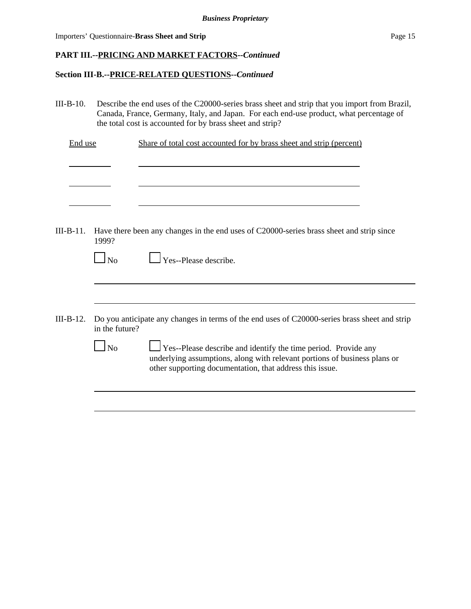|  | Importers' Questionnaire-Brass Sheet and Strip | Page 15 |  |
|--|------------------------------------------------|---------|--|
|--|------------------------------------------------|---------|--|

l

# **PART III.--PRICING AND MARKET FACTORS--***Continued*

### **Section III-B.--PRICE-RELATED QUESTIONS--***Continued*

III-B-10. Describe the end uses of the C20000-series brass sheet and strip that you import from Brazil, Canada, France, Germany, Italy, and Japan. For each end-use product, what percentage of the total cost is accounted for by brass sheet and strip?

| End use | Share of total cost accounted for by brass sheet and strip (percent) |  |
|---------|----------------------------------------------------------------------|--|
|         |                                                                      |  |

III-B-11. Have there been any changes in the end uses of C20000-series brass sheet and strip since 1999?

| $\Box$ No | $\Box$ Yes--Please describe. |
|-----------|------------------------------|
|           |                              |

- III-B-12. Do you anticipate any changes in terms of the end uses of C20000-series brass sheet and strip in the future?
	- $\Box$  No  $\Box$  Yes--Please describe and identify the time period. Provide any underlying assumptions, along with relevant portions of business plans or other supporting documentation, that address this issue.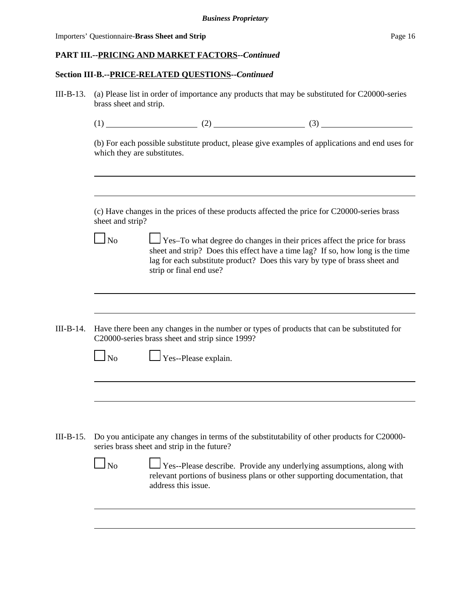#### **Section III-B.--PRICE-RELATED QUESTIONS--***Continued*

- III-B-13. (a) Please list in order of importance any products that may be substituted for C20000-series brass sheet and strip.
	- $(1)$  (2) (3)

(b) For each possible substitute product, please give examples of applications and end uses for which they are substitutes.

(c) Have changes in the prices of these products affected the price for C20000-series brass sheet and strip?

 $\Box$  No  $\Box$  Yes–To what degree do changes in their prices affect the price for brass sheet and strip? Does this effect have a time lag? If so, how long is the time lag for each substitute product? Does this vary by type of brass sheet and strip or final end use?

III-B-14. Have there been any changes in the number or types of products that can be substituted for C20000-series brass sheet and strip since 1999?

|--|

 $\Box$  Yes--Please explain.

III-B-15. Do you anticipate any changes in terms of the substitutability of other products for C20000 series brass sheet and strip in the future?

| N <sub>0</sub> | Yes--Please describe. Provide any underlying assumptions, along with        |
|----------------|-----------------------------------------------------------------------------|
|                | relevant portions of business plans or other supporting documentation, that |
|                | address this issue.                                                         |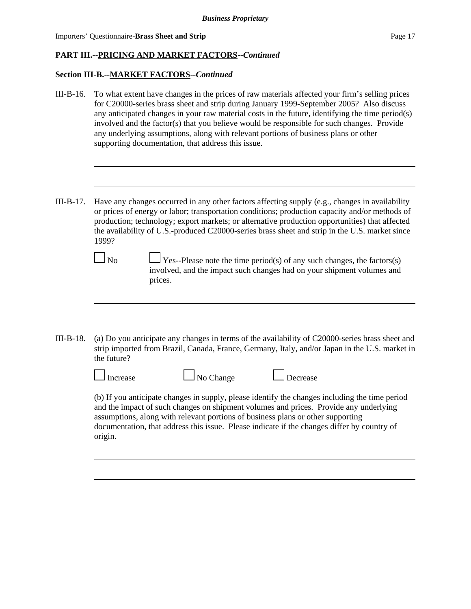#### **Section III-B.--MARKET FACTORS--***Continued*

- III-B-16. To what extent have changes in the prices of raw materials affected your firm's selling prices for C20000-series brass sheet and strip during January 1999-September 2005? Also discuss any anticipated changes in your raw material costs in the future, identifying the time period(s) involved and the factor(s) that you believe would be responsible for such changes. Provide any underlying assumptions, along with relevant portions of business plans or other supporting documentation, that address this issue.
- III-B-17. Have any changes occurred in any other factors affecting supply (e.g., changes in availability or prices of energy or labor; transportation conditions; production capacity and/or methods of production; technology; export markets; or alternative production opportunities) that affected the availability of U.S.-produced C20000-series brass sheet and strip in the U.S. market since 1999?

|--|

 $\Box$  Yes--Please note the time period(s) of any such changes, the factors(s) involved, and the impact such changes had on your shipment volumes and prices.

III-B-18. (a) Do you anticipate any changes in terms of the availability of C20000-series brass sheet and strip imported from Brazil, Canada, France, Germany, Italy, and/or Japan in the U.S. market in the future?

| $\Box$ Increase | $\Box$ No Change | $\Box$ Decrease                                                                                                                                                                        |  |
|-----------------|------------------|----------------------------------------------------------------------------------------------------------------------------------------------------------------------------------------|--|
|                 |                  | (b) If you anticipate changes in supply, please identify the changes including the time period<br>ond the innoct of qualcohomoe an objective underground agrees. Deside our underlying |  |

and the impact of such changes on shipment volumes and prices. Provide any underlying assumptions, along with relevant portions of business plans or other supporting documentation, that address this issue. Please indicate if the changes differ by country of origin.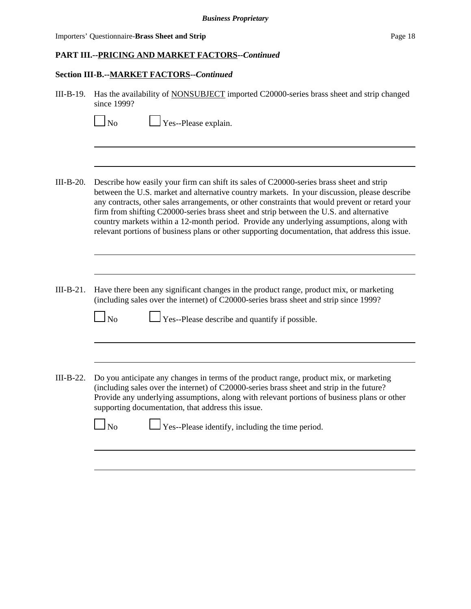Importers' Questionnaire-**Brass Sheet and Strip** Page 18

### **PART III.--PRICING AND MARKET FACTORS--***Continued*

 $\Box$  No  $\Box$  Yes--Please explain.

#### **Section III-B.--MARKET FACTORS--***Continued*

| III-B-19. Has the availability of NONSUBJECT imported C20000-series brass sheet and strip changed |
|---------------------------------------------------------------------------------------------------|
| since $1999$ ?                                                                                    |

| III-B-20. | Describe how easily your firm can shift its sales of C20000-series brass sheet and strip<br>between the U.S. market and alternative country markets. In your discussion, please describe<br>any contracts, other sales arrangements, or other constraints that would prevent or retard your<br>firm from shifting C20000-series brass sheet and strip between the U.S. and alternative<br>country markets within a 12-month period. Provide any underlying assumptions, along with<br>relevant portions of business plans or other supporting documentation, that address this issue. |
|-----------|---------------------------------------------------------------------------------------------------------------------------------------------------------------------------------------------------------------------------------------------------------------------------------------------------------------------------------------------------------------------------------------------------------------------------------------------------------------------------------------------------------------------------------------------------------------------------------------|

III-B-21. Have there been any significant changes in the product range, product mix, or marketing (including sales over the internet) of C20000-series brass sheet and strip since 1999?

 $\Box$  No  $\Box$  Yes--Please describe and quantify if possible.

III-B-22. Do you anticipate any changes in terms of the product range, product mix, or marketing (including sales over the internet) of C20000-series brass sheet and strip in the future? Provide any underlying assumptions, along with relevant portions of business plans or other supporting documentation, that address this issue.

No Yes--Please identify, including the time period.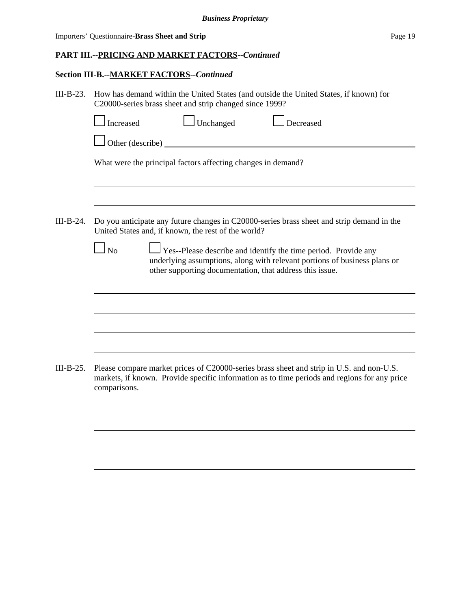| Importers' Questionnaire-Brass Sheet and Strip | Page 19 |
|------------------------------------------------|---------|
|------------------------------------------------|---------|

# **Section III-B.--MARKET FACTORS--***Continued*

| $III-B-23.$ | How has demand within the United States (and outside the United States, if known) for<br>C20000-series brass sheet and strip changed since 1999?                                                                     |  |  |  |  |  |  |  |
|-------------|----------------------------------------------------------------------------------------------------------------------------------------------------------------------------------------------------------------------|--|--|--|--|--|--|--|
|             | $\Box$ Unchanged<br>$\Box$ Decreased<br>Increased                                                                                                                                                                    |  |  |  |  |  |  |  |
|             |                                                                                                                                                                                                                      |  |  |  |  |  |  |  |
|             | What were the principal factors affecting changes in demand?                                                                                                                                                         |  |  |  |  |  |  |  |
| $III-B-24.$ | Do you anticipate any future changes in C20000-series brass sheet and strip demand in the<br>United States and, if known, the rest of the world?                                                                     |  |  |  |  |  |  |  |
|             | Yes--Please describe and identify the time period. Provide any<br><b>No</b><br>underlying assumptions, along with relevant portions of business plans or<br>other supporting documentation, that address this issue. |  |  |  |  |  |  |  |
|             |                                                                                                                                                                                                                      |  |  |  |  |  |  |  |
|             |                                                                                                                                                                                                                      |  |  |  |  |  |  |  |
| $III-B-25.$ | Please compare market prices of C20000-series brass sheet and strip in U.S. and non-U.S.<br>markets, if known. Provide specific information as to time periods and regions for any price<br>comparisons.             |  |  |  |  |  |  |  |
|             |                                                                                                                                                                                                                      |  |  |  |  |  |  |  |
|             |                                                                                                                                                                                                                      |  |  |  |  |  |  |  |
|             |                                                                                                                                                                                                                      |  |  |  |  |  |  |  |
|             |                                                                                                                                                                                                                      |  |  |  |  |  |  |  |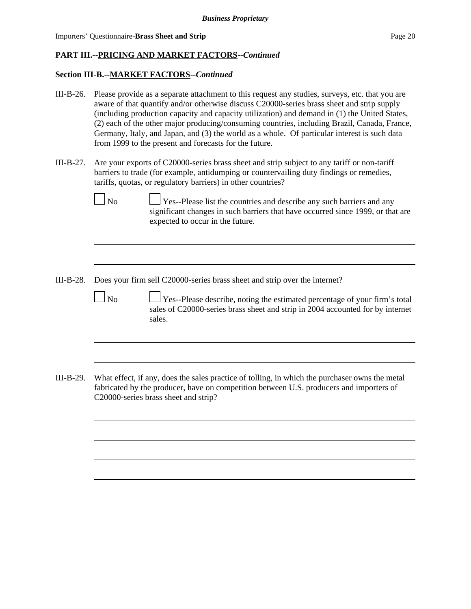#### **Section III-B.--MARKET FACTORS--***Continued*

- III-B-26. Please provide as a separate attachment to this request any studies, surveys, etc. that you are aware of that quantify and/or otherwise discuss C20000-series brass sheet and strip supply (including production capacity and capacity utilization) and demand in (1) the United States, (2) each of the other major producing/consuming countries, including Brazil, Canada, France, Germany, Italy, and Japan, and (3) the world as a whole. Of particular interest is such data from 1999 to the present and forecasts for the future.
- III-B-27. Are your exports of C20000-series brass sheet and strip subject to any tariff or non-tariff barriers to trade (for example, antidumping or countervailing duty findings or remedies, tariffs, quotas, or regulatory barriers) in other countries?



 $\Box$  No  $\Box$  Yes--Please list the countries and describe any such barriers and any significant changes in such barriers that have occurred since 1999, or that are expected to occur in the future.

III-B-28. Does your firm sell C20000-series brass sheet and strip over the internet?

 $\Box$  No  $\Box$  Yes--Please describe, noting the estimated percentage of your firm's total sales of C20000-series brass sheet and strip in 2004 accounted for by internet sales.

III-B-29. What effect, if any, does the sales practice of tolling, in which the purchaser owns the metal fabricated by the producer, have on competition between U.S. producers and importers of C20000-series brass sheet and strip?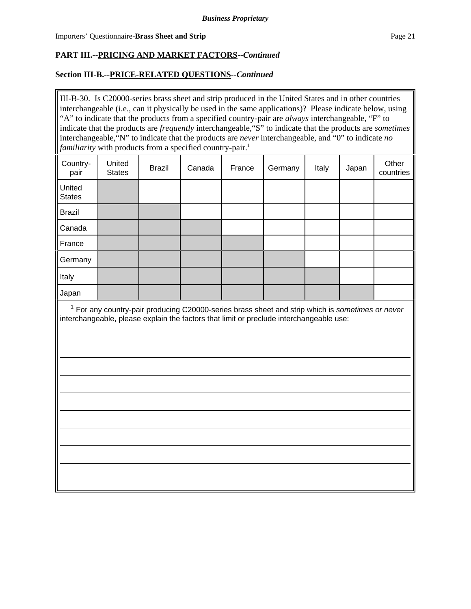### **Section III-B.--PRICE-RELATED QUESTIONS--***Continued*

III-B-30. Is C20000-series brass sheet and strip produced in the United States and in other countries interchangeable (i.e., can it physically be used in the same applications)? Please indicate below, using "A" to indicate that the products from a specified country-pair are *always* interchangeable, "F" to indicate that the products are *frequently* interchangeable,"S" to indicate that the products are *sometimes* interchangeable,"N" to indicate that the products are *never* interchangeable, and "0" to indicate *no familiarity* with products from a specified country-pair.<sup>1</sup>

| Country-<br>pair        | United<br><b>States</b> | <b>Brazil</b> | Canada | France | Germany | Italy | Japan | Other<br>countries |
|-------------------------|-------------------------|---------------|--------|--------|---------|-------|-------|--------------------|
| United<br><b>States</b> |                         |               |        |        |         |       |       |                    |
| <b>Brazil</b>           |                         |               |        |        |         |       |       |                    |
| Canada                  |                         |               |        |        |         |       |       |                    |
| France                  |                         |               |        |        |         |       |       |                    |
| Germany                 |                         |               |        |        |         |       |       |                    |
| Italy                   |                         |               |        |        |         |       |       |                    |
| Japan                   |                         |               |        |        |         |       |       |                    |

 <sup>1</sup> For any country-pair producing C20000-series brass sheet and strip which is *sometimes or never* interchangeable, please explain the factors that limit or preclude interchangeable use: